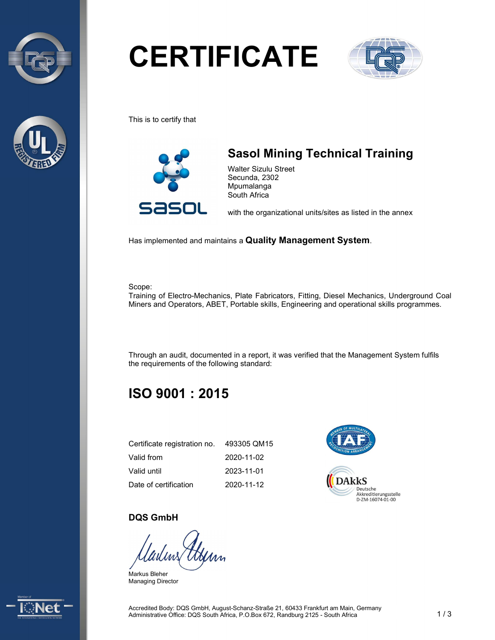



# **CERTIFICATE**



This is to certify that



# Sasol Mining Technical Training

Walter Sizulu Street Secunda, 2302 Mpumalanga South Africa

with the organizational units/sites as listed in the annex

Has implemented and maintains a Quality Management System.

#### Scope:

Training of Electro-Mechanics, Plate Fabricators, Fitting, Diesel Mechanics, Underground Coal Miners and Operators, ABET, Portable skills, Engineering and operational skills programmes.

Through an audit, documented in a report, it was verified that the Management System fulfils the requirements of the following standard:

## ISO 9001 : 2015

| Certificate registration no. | 493305 QM15 |
|------------------------------|-------------|
| Valid from                   | 2020-11-02  |
| Valid until                  | 2023-11-01  |
| Date of certification        | 2020-11-12  |



### DQS GmbH

Markus Bleher Managing Director

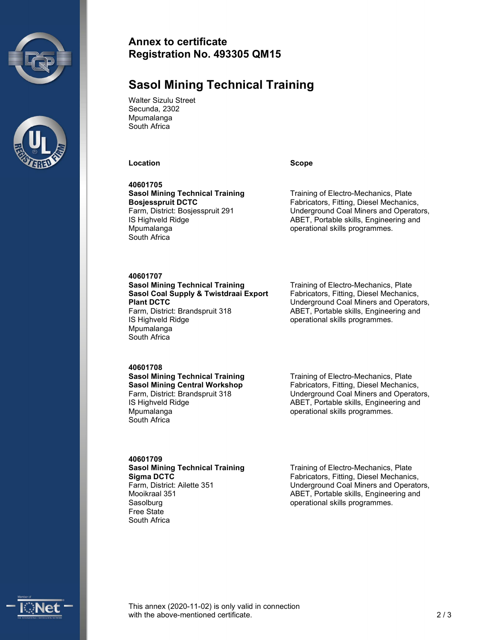



## Annex to certificate Registration No. 493305 QM15

## Sasol Mining Technical Training

Walter Sizulu Street Secunda, 2302 **Mpumalanga** South Africa

Location Scope Scope

40601705 Sasol Mining Technical Training Bosjesspruit DCTC Farm, District: Bosjesspruit 291 IS Highveld Ridge **Mpumalanga** South Africa

Training of Electro-Mechanics, Plate Fabricators, Fitting, Diesel Mechanics, Underground Coal Miners and Operators, ABET, Portable skills, Engineering and operational skills programmes.

#### 40601707

#### Sasol Mining Technical Training Sasol Coal Supply & Twistdraai Export Plant DCTC Farm, District: Brandspruit 318

IS Highveld Ridge Mpumalanga South Africa

Training of Electro-Mechanics, Plate Fabricators, Fitting, Diesel Mechanics, Underground Coal Miners and Operators, ABET, Portable skills, Engineering and operational skills programmes.

#### 40601708

Sasol Mining Technical Training Sasol Mining Central Workshop Farm, District: Brandspruit 318 IS Highveld Ridge Mpumalanga South Africa

40601709 Sasol Mining Technical Training Sigma DCTC Farm, District: Ailette 351 Mooikraal 351 **Sasolburg** Free State South Africa

Training of Electro-Mechanics, Plate Fabricators, Fitting, Diesel Mechanics, Underground Coal Miners and Operators, ABET, Portable skills, Engineering and operational skills programmes.

Training of Electro-Mechanics, Plate Fabricators, Fitting, Diesel Mechanics, Underground Coal Miners and Operators, ABET, Portable skills, Engineering and operational skills programmes.



This annex (2020-11-02) is only valid in connection with the above-mentioned certificate. 2.2 a and 2.2 a  $\sim$  2.2 a  $\sim$  2.2 a  $\sim$  2.2 a  $\sim$  2.2 a  $\sim$  2.2 a  $\sim$  2.2 a  $\sim$  2.2 a  $\sim$  2.2 a  $\sim$  2.2 a  $\sim$  2.2 a  $\sim$  2.2 a  $\sim$  2.2 a  $\sim$  2.2 a  $\sim$  2.2 a  $\sim$  2.2 a  $\sim$